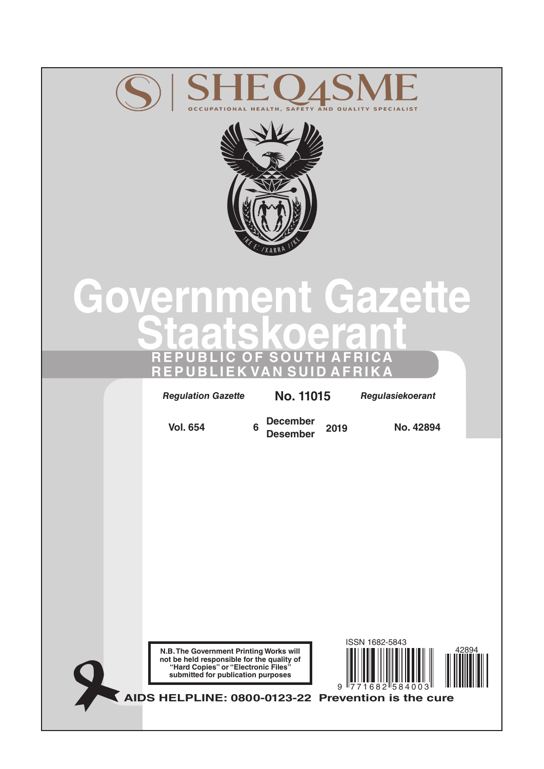



## **Government Gazette Staatskoerant REPUBLIC OF SOUTH AFRICA REPUBLIEK VAN SUID AFRIKA**

*Regulation Gazette* **No. 10177** *Regulasiekoerant Regulation Gazette* **No. 11015** *Regulasiekoerant*

**Vol. <sup>654</sup> <sup>6</sup> December Desember <sup>2019</sup> No. <sup>42894</sup>**



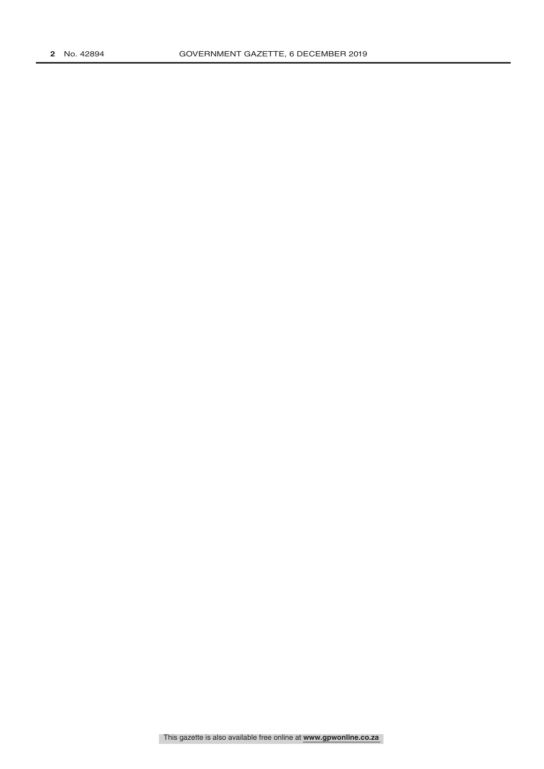This gazette is also available free online at **www.gpwonline.co.za**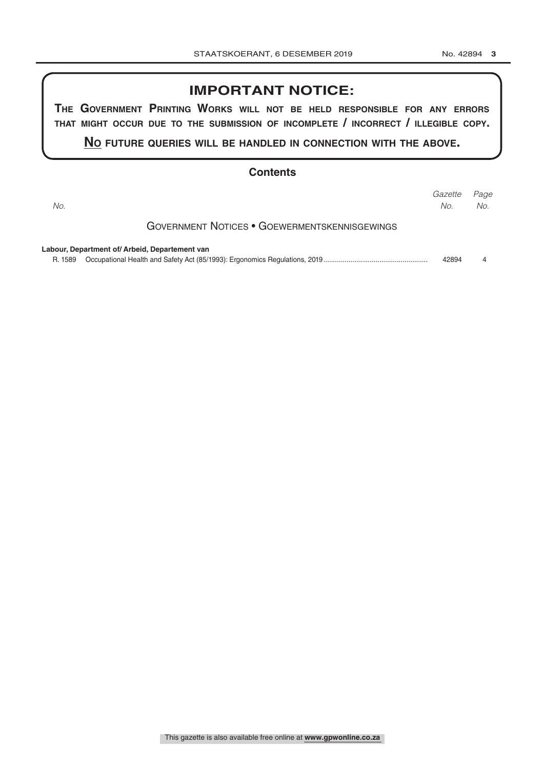#### **IMPORTANT NOTICE:**

**The GovernmenT PrinTinG Works Will noT be held resPonsible for any errors ThaT miGhT occur due To The submission of incomPleTe / incorrecT / illeGible coPy.**

**no fuTure queries Will be handled in connecTion WiTh The above.**

#### **Contents**

| No.                                                       | Gazette<br>No. | Page<br>No. |
|-----------------------------------------------------------|----------------|-------------|
| <b>GOVERNMENT NOTICES • GOEWERMENTSKENNISGEWINGS</b>      |                |             |
| Labour, Department of/ Arbeid, Departement van<br>R. 1589 | 42894          |             |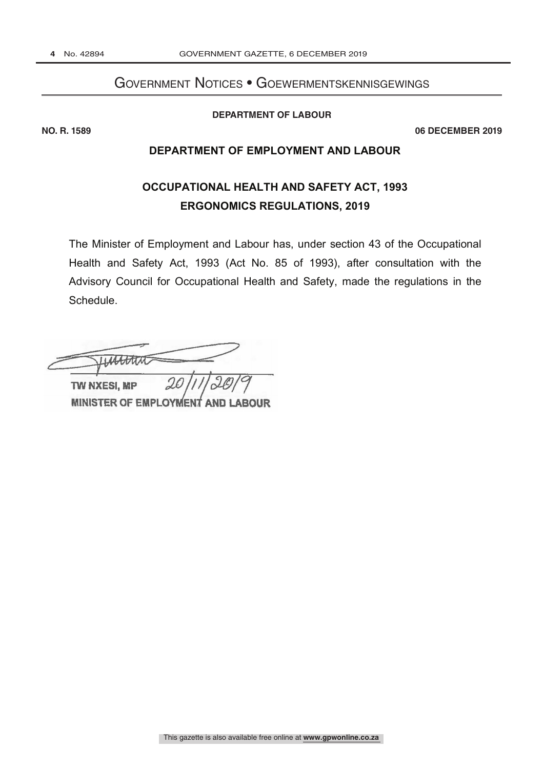#### Government Notices • Goewermentskennisgewings

**DEPARTMENT OF LABOUR**

**NO. R. 1589 06 DECEMBER 2019**

#### **DEPARTMENT OF EMPLOYMENT AND LABOUR**

#### **OCCUPATIONAL HEALTH AND SAFETY ACT, 1993 ERGONOMICS REGULATIONS, 2019**

The Minister of Employment and Labour has, under section 43 of the Occupational Health and Safety Act, 1993 (Act No. 85 of 1993), after consultation with the Advisory Council for Occupational Health and Safety, made the regulations in the Schedule.

 $\frac{20}{11/20/9}$ **LIAAHAM** 

TW NXESI, MP **MINISTER OF EMPLOYMENT AND LABOUR**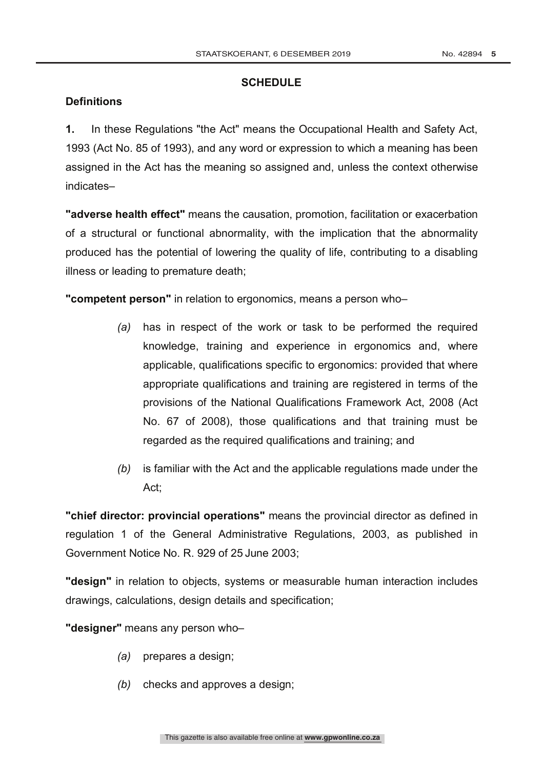#### **SCHEDULE**

#### **Definitions**

**1.** In these Regulations "the Act" means the Occupational Health and Safety Act, 1993 (Act No. 85 of 1993), and any word or expression to which a meaning has been assigned in the Act has the meaning so assigned and, unless the context otherwise indicates–

**"adverse health effect"** means the causation, promotion, facilitation or exacerbation of a structural or functional abnormality, with the implication that the abnormality produced has the potential of lowering the quality of life, contributing to a disabling illness or leading to premature death;

**"competent person"** in relation to ergonomics, means a person who–

- *(a)* has in respect of the work or task to be performed the required knowledge, training and experience in ergonomics and, where applicable, qualifications specific to ergonomics: provided that where appropriate qualifications and training are registered in terms of the provisions of the National Qualifications Framework Act, 2008 (Act No. 67 of 2008), those qualifications and that training must be regarded as the required qualifications and training; and
- *(b)* is familiar with the Act and the applicable regulations made under the Act;

**"chief director: provincial operations"** means the provincial director as defined in regulation 1 of the General Administrative Regulations, 2003, as published in Government Notice No. R. 929 of 25 June 2003;

**"design"** in relation to objects, systems or measurable human interaction includes drawings, calculations, design details and specification;

**"designer"** means any person who–

- *(a)* prepares a design;
- *(b)* checks and approves a design;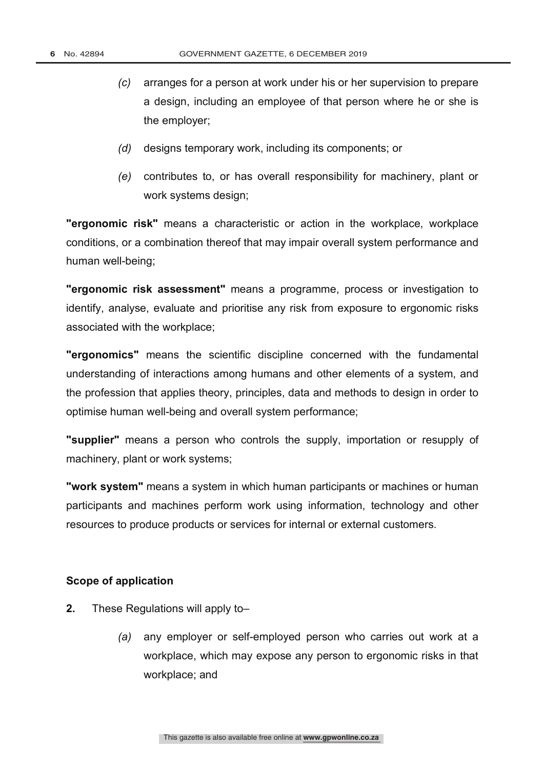- *(c)* arranges for a person at work under his or her supervision to prepare a design, including an employee of that person where he or she is the employer;
- *(d)* designs temporary work, including its components; or
- *(e)* contributes to, or has overall responsibility for machinery, plant or work systems design;

**"ergonomic risk"** means a characteristic or action in the workplace, workplace conditions, or a combination thereof that may impair overall system performance and human well-being;

**"ergonomic risk assessment"** means a programme, process or investigation to identify, analyse, evaluate and prioritise any risk from exposure to ergonomic risks associated with the workplace;

**"ergonomics"** means the scientific discipline concerned with the fundamental understanding of interactions among humans and other elements of a system, and the profession that applies theory, principles, data and methods to design in order to optimise human well-being and overall system performance;

**"supplier"** means a person who controls the supply, importation or resupply of machinery, plant or work systems;

**"work system"** means a system in which human participants or machines or human participants and machines perform work using information, technology and other resources to produce products or services for internal or external customers.

#### **Scope of application**

- **2.** These Regulations will apply to–
	- *(a)* any employer or self-employed person who carries out work at a workplace, which may expose any person to ergonomic risks in that workplace; and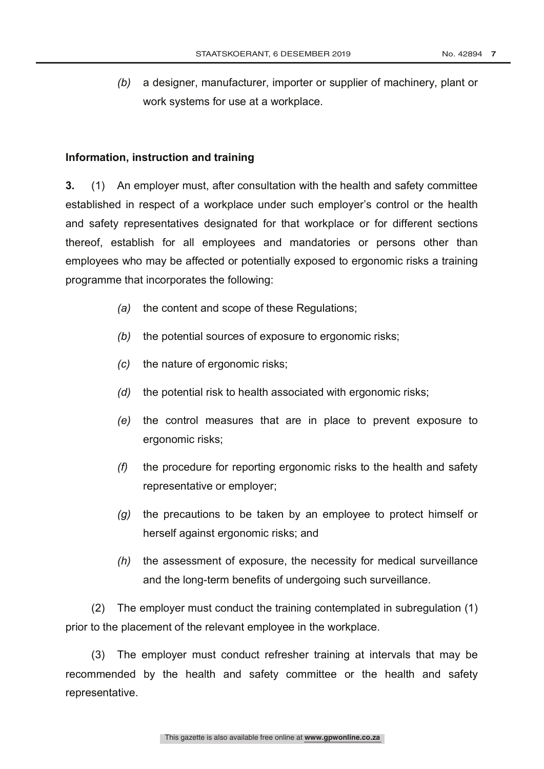*(b)* a designer, manufacturer, importer or supplier of machinery, plant or work systems for use at a workplace.

#### **Information, instruction and training**

**3.** (1) An employer must, after consultation with the health and safety committee established in respect of a workplace under such employer's control or the health and safety representatives designated for that workplace or for different sections thereof, establish for all employees and mandatories or persons other than employees who may be affected or potentially exposed to ergonomic risks a training programme that incorporates the following:

- *(a)* the content and scope of these Regulations;
- *(b)* the potential sources of exposure to ergonomic risks;
- *(c)* the nature of ergonomic risks;
- *(d)* the potential risk to health associated with ergonomic risks;
- *(e)* the control measures that are in place to prevent exposure to ergonomic risks;
- *(f)* the procedure for reporting ergonomic risks to the health and safety representative or employer;
- *(g)* the precautions to be taken by an employee to protect himself or herself against ergonomic risks; and
- *(h)* the assessment of exposure, the necessity for medical surveillance and the long-term benefits of undergoing such surveillance.

(2) The employer must conduct the training contemplated in subregulation (1) prior to the placement of the relevant employee in the workplace.

(3) The employer must conduct refresher training at intervals that may be recommended by the health and safety committee or the health and safety representative.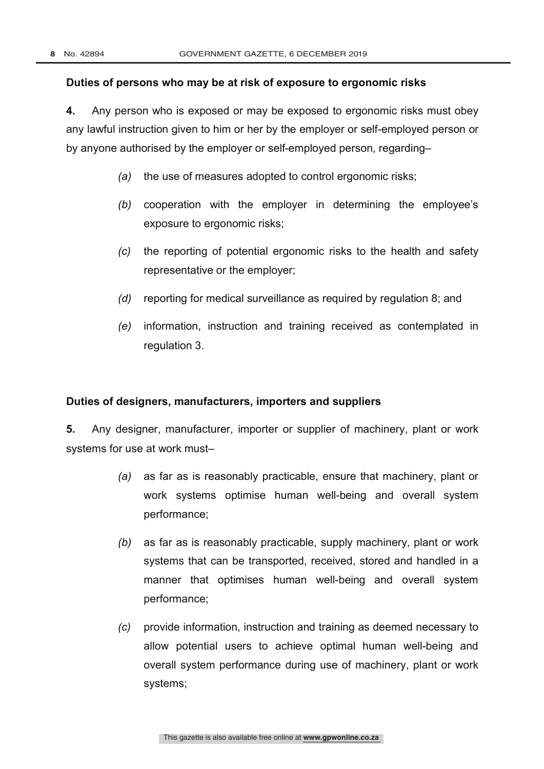#### **Duties of persons who may be at risk of exposure to ergonomic risks**

**4.** Any person who is exposed or may be exposed to ergonomic risks must obey any lawful instruction given to him or her by the employer or self-employed person or by anyone authorised by the employer or self-employed person, regarding–

- *(a)* the use of measures adopted to control ergonomic risks;
- *(b)* cooperation with the employer in determining the employee's exposure to ergonomic risks;
- *(c)* the reporting of potential ergonomic risks to the health and safety representative or the employer;
- *(d)* reporting for medical surveillance as required by regulation 8; and
- *(e)* information, instruction and training received as contemplated in regulation 3.

#### **Duties of designers, manufacturers, importers and suppliers**

**5.** Any designer, manufacturer, importer or supplier of machinery, plant or work systems for use at work must–

- *(a)* as far as is reasonably practicable, ensure that machinery, plant or work systems optimise human well-being and overall system performance;
- *(b)* as far as is reasonably practicable, supply machinery, plant or work systems that can be transported, received, stored and handled in a manner that optimises human well-being and overall system performance;
- *(c)* provide information, instruction and training as deemed necessary to allow potential users to achieve optimal human well-being and overall system performance during use of machinery, plant or work systems;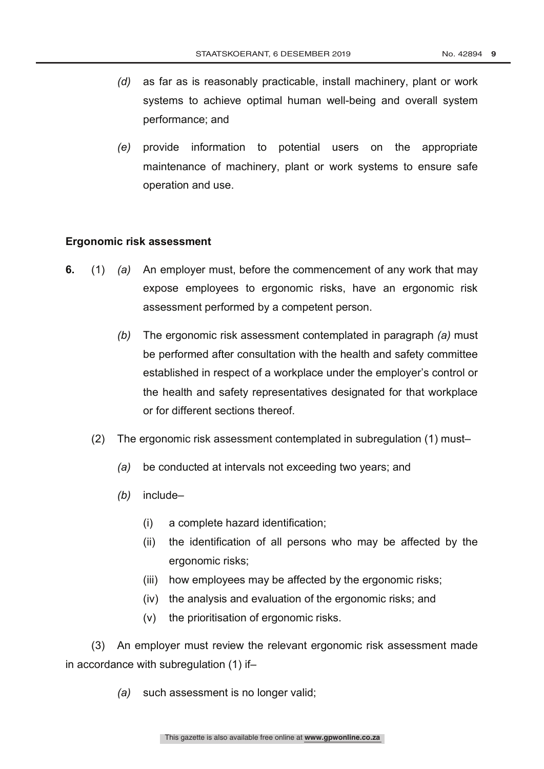- *(d)* as far as is reasonably practicable, install machinery, plant or work systems to achieve optimal human well-being and overall system performance; and
- *(e)* provide information to potential users on the appropriate maintenance of machinery, plant or work systems to ensure safe operation and use.

#### **Ergonomic risk assessment**

- **6.** (1) *(a)* An employer must, before the commencement of any work that may expose employees to ergonomic risks, have an ergonomic risk assessment performed by a competent person.
	- *(b)* The ergonomic risk assessment contemplated in paragraph *(a)* must be performed after consultation with the health and safety committee established in respect of a workplace under the employer's control or the health and safety representatives designated for that workplace or for different sections thereof.
	- (2) The ergonomic risk assessment contemplated in subregulation (1) must–
		- *(a)* be conducted at intervals not exceeding two years; and
		- *(b)* include–
			- (i) a complete hazard identification;
			- (ii) the identification of all persons who may be affected by the ergonomic risks;
			- (iii) how employees may be affected by the ergonomic risks;
			- (iv) the analysis and evaluation of the ergonomic risks; and
			- (v) the prioritisation of ergonomic risks.

(3) An employer must review the relevant ergonomic risk assessment made in accordance with subregulation (1) if–

*(a)* such assessment is no longer valid;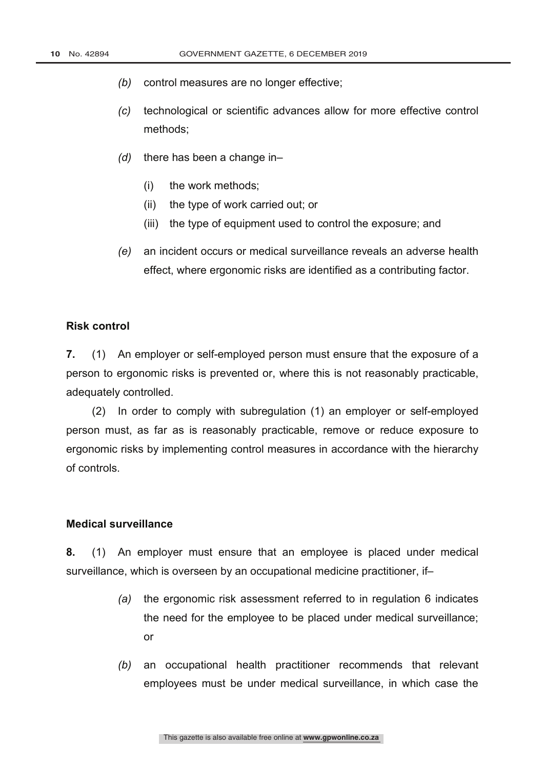- *(b)* control measures are no longer effective;
- *(c)* technological or scientific advances allow for more effective control methods;
- *(d)* there has been a change in–
	- (i) the work methods;
	- (ii) the type of work carried out; or
	- (iii) the type of equipment used to control the exposure; and
- *(e)* an incident occurs or medical surveillance reveals an adverse health effect, where ergonomic risks are identified as a contributing factor.

#### **Risk control**

**7.** (1) An employer or self-employed person must ensure that the exposure of a person to ergonomic risks is prevented or, where this is not reasonably practicable, adequately controlled.

(2) In order to comply with subregulation (1) an employer or self-employed person must, as far as is reasonably practicable, remove or reduce exposure to ergonomic risks by implementing control measures in accordance with the hierarchy of controls.

#### **Medical surveillance**

**8.** (1) An employer must ensure that an employee is placed under medical surveillance, which is overseen by an occupational medicine practitioner, if–

- *(a)* the ergonomic risk assessment referred to in regulation 6 indicates the need for the employee to be placed under medical surveillance; or
- *(b)* an occupational health practitioner recommends that relevant employees must be under medical surveillance, in which case the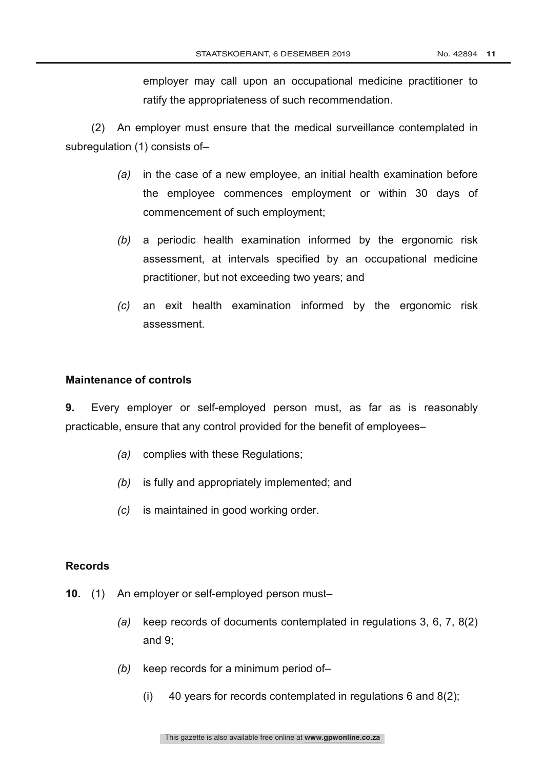employer may call upon an occupational medicine practitioner to ratify the appropriateness of such recommendation.

(2) An employer must ensure that the medical surveillance contemplated in subregulation (1) consists of–

- *(a)* in the case of a new employee, an initial health examination before the employee commences employment or within 30 days of commencement of such employment;
- *(b)* a periodic health examination informed by the ergonomic risk assessment, at intervals specified by an occupational medicine practitioner, but not exceeding two years; and
- *(c)* an exit health examination informed by the ergonomic risk assessment.

#### **Maintenance of controls**

**9.** Every employer or self-employed person must, as far as is reasonably practicable, ensure that any control provided for the benefit of employees–

- *(a)* complies with these Regulations;
- *(b)* is fully and appropriately implemented; and
- *(c)* is maintained in good working order.

#### **Records**

- **10.** (1) An employer or self-employed person must–
	- *(a)* keep records of documents contemplated in regulations 3, 6, 7, 8(2) and 9;
	- *(b)* keep records for a minimum period of–
		- (i) 40 years for records contemplated in regulations 6 and  $8(2)$ ;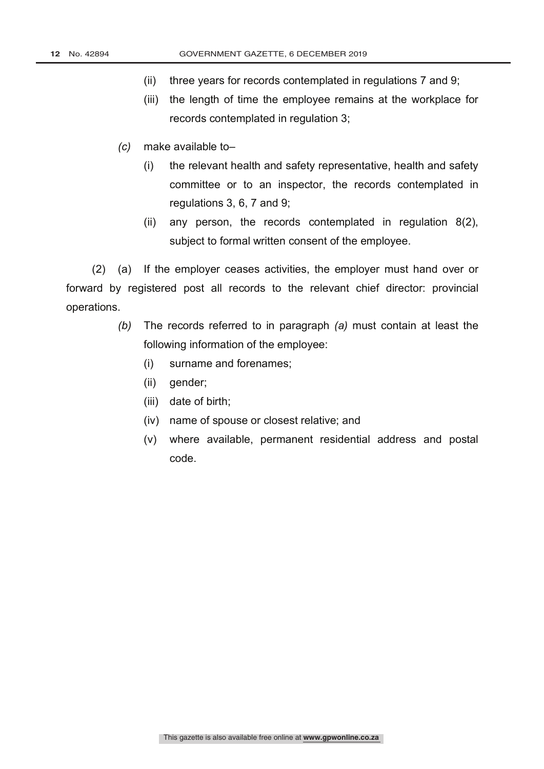- (ii) three years for records contemplated in regulations 7 and 9;
- (iii) the length of time the employee remains at the workplace for records contemplated in regulation 3;
- *(c)* make available to–
	- (i) the relevant health and safety representative, health and safety committee or to an inspector, the records contemplated in regulations 3, 6, 7 and 9;
	- (ii) any person, the records contemplated in regulation 8(2), subject to formal written consent of the employee.

(2) (a) If the employer ceases activities, the employer must hand over or forward by registered post all records to the relevant chief director: provincial operations.

- *(b)* The records referred to in paragraph *(a)* must contain at least the following information of the employee:
	- (i) surname and forenames;
	- (ii) gender;
	- (iii) date of birth;
	- (iv) name of spouse or closest relative; and
	- (v) where available, permanent residential address and postal code.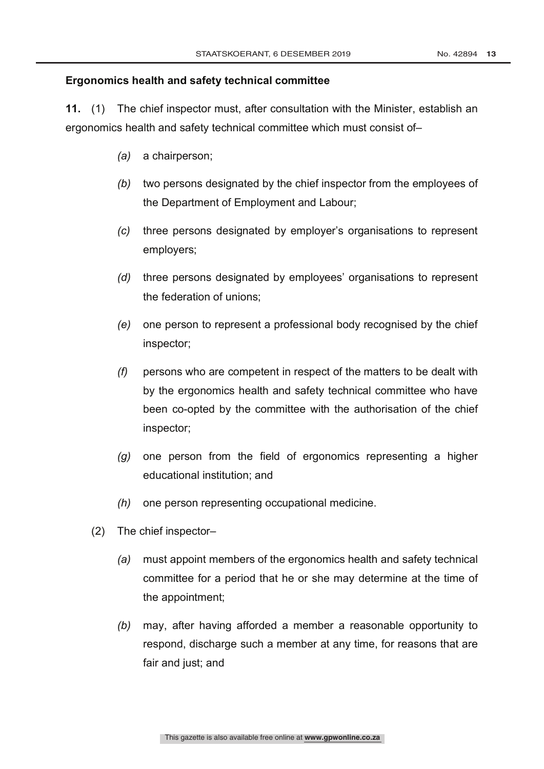#### **Ergonomics health and safety technical committee**

**11.** (1) The chief inspector must, after consultation with the Minister, establish an ergonomics health and safety technical committee which must consist of–

- *(a)* a chairperson;
- *(b)* two persons designated by the chief inspector from the employees of the Department of Employment and Labour;
- *(c)* three persons designated by employer's organisations to represent employers;
- *(d)* three persons designated by employees' organisations to represent the federation of unions;
- *(e)* one person to represent a professional body recognised by the chief inspector;
- *(f)* persons who are competent in respect of the matters to be dealt with by the ergonomics health and safety technical committee who have been co-opted by the committee with the authorisation of the chief inspector;
- *(g)* one person from the field of ergonomics representing a higher educational institution; and
- *(h)* one person representing occupational medicine.
- (2) The chief inspector–
	- *(a)* must appoint members of the ergonomics health and safety technical committee for a period that he or she may determine at the time of the appointment;
	- *(b)* may, after having afforded a member a reasonable opportunity to respond, discharge such a member at any time, for reasons that are fair and just; and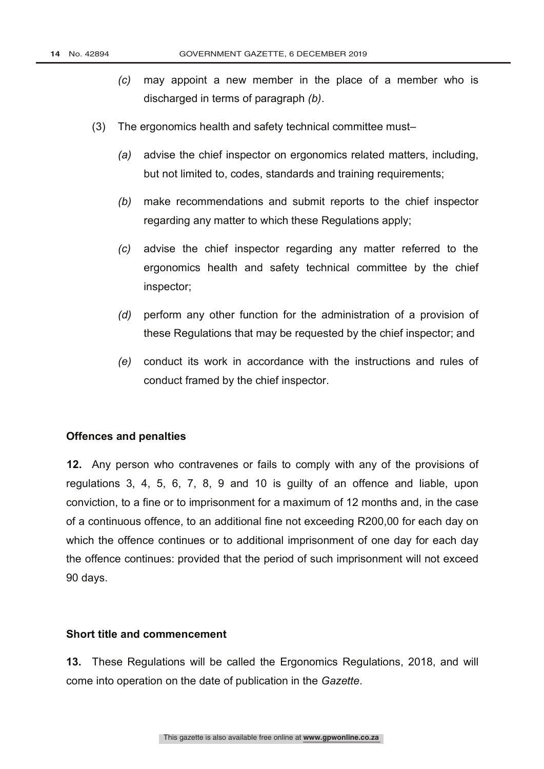- *(c)* may appoint a new member in the place of a member who is discharged in terms of paragraph *(b)*.
- (3) The ergonomics health and safety technical committee must–
	- *(a)* advise the chief inspector on ergonomics related matters, including, but not limited to, codes, standards and training requirements;
	- *(b)* make recommendations and submit reports to the chief inspector regarding any matter to which these Regulations apply;
	- *(c)* advise the chief inspector regarding any matter referred to the ergonomics health and safety technical committee by the chief inspector;
	- *(d)* perform any other function for the administration of a provision of these Regulations that may be requested by the chief inspector; and
	- *(e)* conduct its work in accordance with the instructions and rules of conduct framed by the chief inspector.

#### **Offences and penalties**

**12.** Any person who contravenes or fails to comply with any of the provisions of regulations 3, 4, 5, 6, 7, 8, 9 and 10 is guilty of an offence and liable, upon conviction, to a fine or to imprisonment for a maximum of 12 months and, in the case of a continuous offence, to an additional fine not exceeding R200,00 for each day on which the offence continues or to additional imprisonment of one day for each day the offence continues: provided that the period of such imprisonment will not exceed 90 days.

#### **Short title and commencement**

**13.** These Regulations will be called the Ergonomics Regulations, 2018, and will come into operation on the date of publication in the *Gazette*.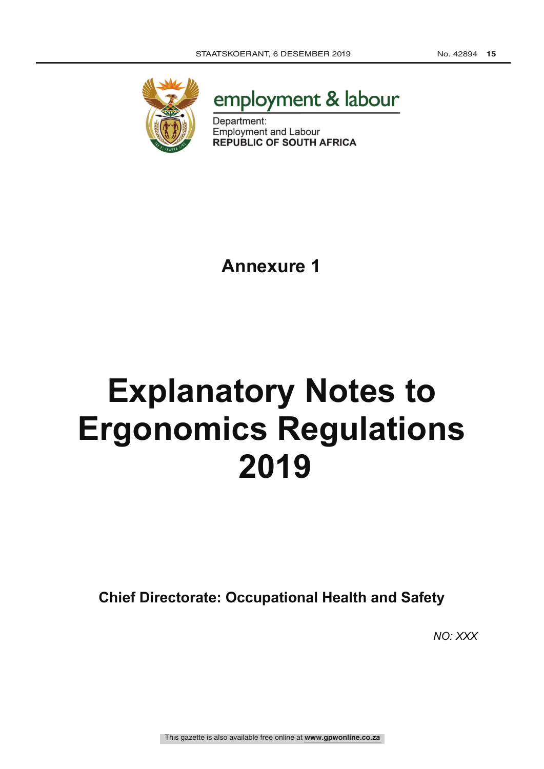

employment & labour

Department: Employment and Labour REPUBLIC OF SOUTH AFRICA

**Annexure 1**

## **Explanatory Notes to Ergonomics Regulations 2019**

**Chief Directorate: Occupational Health and Safety**

*NO: XXX*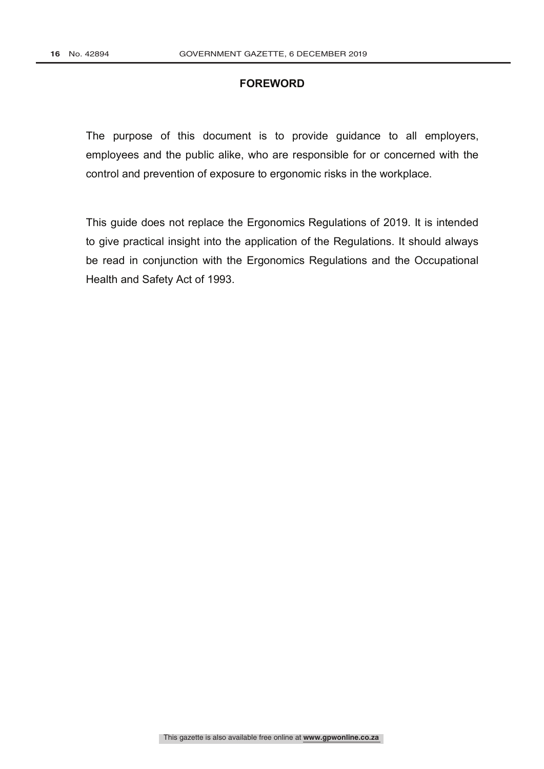#### **FOREWORD**

The purpose of this document is to provide guidance to all employers, employees and the public alike, who are responsible for or concerned with the control and prevention of exposure to ergonomic risks in the workplace.

This guide does not replace the Ergonomics Regulations of 2019. It is intended to give practical insight into the application of the Regulations. It should always be read in conjunction with the Ergonomics Regulations and the Occupational Health and Safety Act of 1993.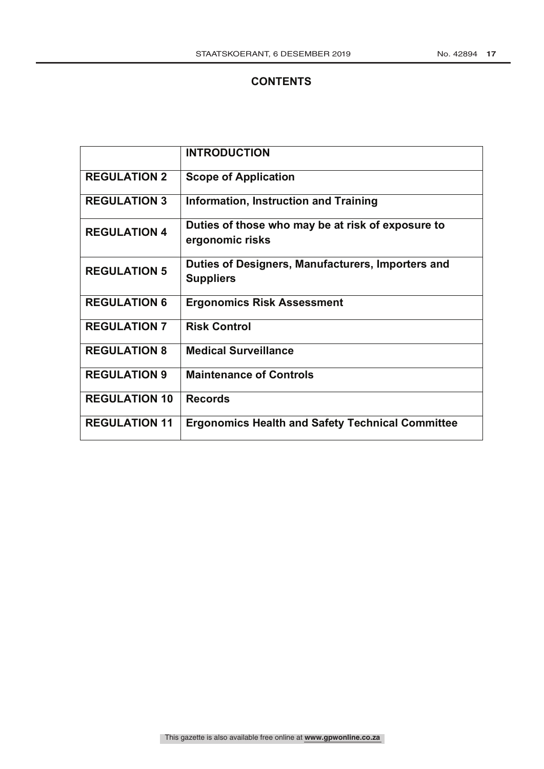#### **CONTENTS**

|                      | <b>INTRODUCTION</b>                                                   |
|----------------------|-----------------------------------------------------------------------|
| <b>REGULATION 2</b>  | <b>Scope of Application</b>                                           |
| <b>REGULATION 3</b>  | Information, Instruction and Training                                 |
| <b>REGULATION 4</b>  | Duties of those who may be at risk of exposure to<br>ergonomic risks  |
| <b>REGULATION 5</b>  | Duties of Designers, Manufacturers, Importers and<br><b>Suppliers</b> |
| <b>REGULATION 6</b>  | <b>Ergonomics Risk Assessment</b>                                     |
| <b>REGULATION 7</b>  | <b>Risk Control</b>                                                   |
| <b>REGULATION 8</b>  | <b>Medical Surveillance</b>                                           |
| <b>REGULATION 9</b>  | <b>Maintenance of Controls</b>                                        |
| <b>REGULATION 10</b> | <b>Records</b>                                                        |
| <b>REGULATION 11</b> | <b>Ergonomics Health and Safety Technical Committee</b>               |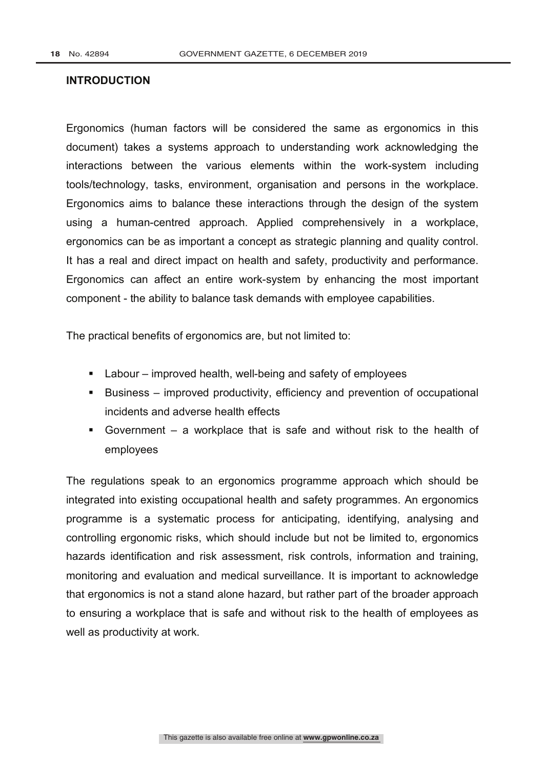#### **INTRODUCTION**

Ergonomics (human factors will be considered the same as ergonomics in this document) takes a systems approach to understanding work acknowledging the interactions between the various elements within the work-system including tools/technology, tasks, environment, organisation and persons in the workplace. Ergonomics aims to balance these interactions through the design of the system using a human-centred approach. Applied comprehensively in a workplace, ergonomics can be as important a concept as strategic planning and quality control. It has a real and direct impact on health and safety, productivity and performance. Ergonomics can affect an entire work-system by enhancing the most important component - the ability to balance task demands with employee capabilities.

The practical benefits of ergonomics are, but not limited to:

- Labour improved health, well-being and safety of employees
- Business improved productivity, efficiency and prevention of occupational incidents and adverse health effects
- § Government a workplace that is safe and without risk to the health of employees

The regulations speak to an ergonomics programme approach which should be integrated into existing occupational health and safety programmes. An ergonomics programme is a systematic process for anticipating, identifying, analysing and controlling ergonomic risks, which should include but not be limited to, ergonomics hazards identification and risk assessment, risk controls, information and training, monitoring and evaluation and medical surveillance. It is important to acknowledge that ergonomics is not a stand alone hazard, but rather part of the broader approach to ensuring a workplace that is safe and without risk to the health of employees as well as productivity at work.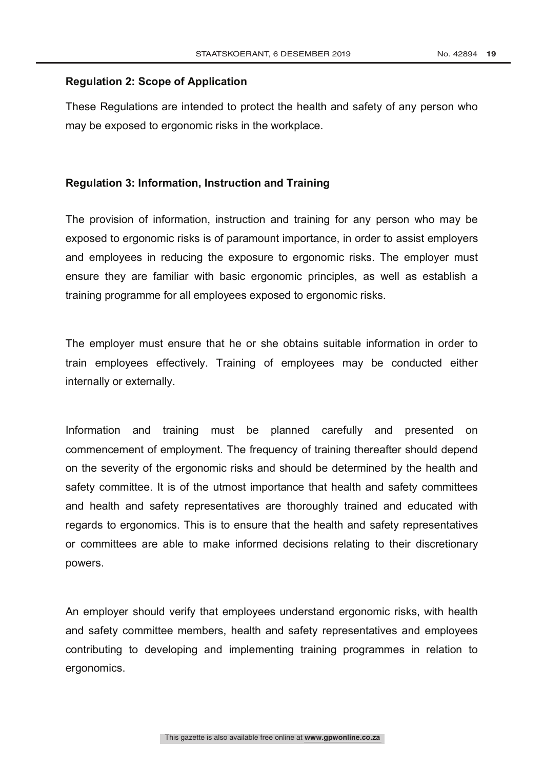#### **Regulation 2: Scope of Application**

These Regulations are intended to protect the health and safety of any person who may be exposed to ergonomic risks in the workplace.

#### **Regulation 3: Information, Instruction and Training**

The provision of information, instruction and training for any person who may be exposed to ergonomic risks is of paramount importance, in order to assist employers and employees in reducing the exposure to ergonomic risks. The employer must ensure they are familiar with basic ergonomic principles, as well as establish a training programme for all employees exposed to ergonomic risks.

The employer must ensure that he or she obtains suitable information in order to train employees effectively. Training of employees may be conducted either internally or externally.

Information and training must be planned carefully and presented on commencement of employment. The frequency of training thereafter should depend on the severity of the ergonomic risks and should be determined by the health and safety committee. It is of the utmost importance that health and safety committees and health and safety representatives are thoroughly trained and educated with regards to ergonomics. This is to ensure that the health and safety representatives or committees are able to make informed decisions relating to their discretionary powers.

An employer should verify that employees understand ergonomic risks, with health and safety committee members, health and safety representatives and employees contributing to developing and implementing training programmes in relation to ergonomics.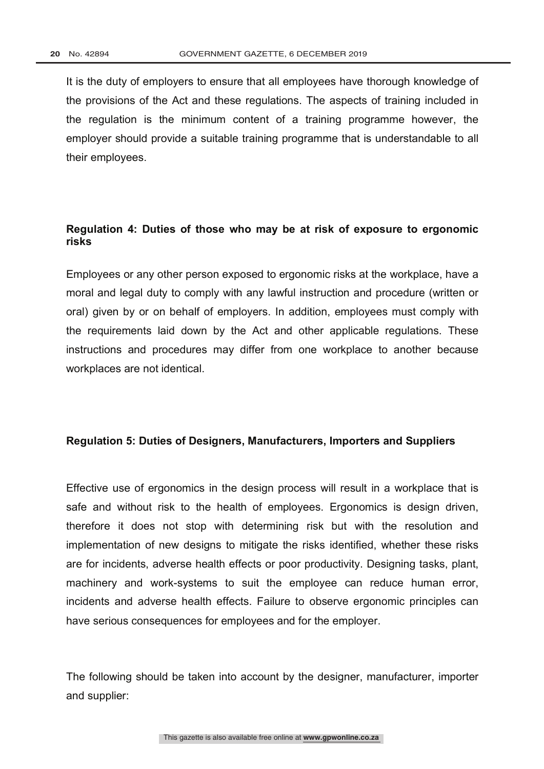It is the duty of employers to ensure that all employees have thorough knowledge of the provisions of the Act and these regulations. The aspects of training included in the regulation is the minimum content of a training programme however, the employer should provide a suitable training programme that is understandable to all their employees.

#### **Regulation 4: Duties of those who may be at risk of exposure to ergonomic risks**

Employees or any other person exposed to ergonomic risks at the workplace, have a moral and legal duty to comply with any lawful instruction and procedure (written or oral) given by or on behalf of employers. In addition, employees must comply with the requirements laid down by the Act and other applicable regulations. These instructions and procedures may differ from one workplace to another because workplaces are not identical.

#### **Regulation 5: Duties of Designers, Manufacturers, Importers and Suppliers**

Effective use of ergonomics in the design process will result in a workplace that is safe and without risk to the health of employees. Ergonomics is design driven, therefore it does not stop with determining risk but with the resolution and implementation of new designs to mitigate the risks identified, whether these risks are for incidents, adverse health effects or poor productivity. Designing tasks, plant, machinery and work-systems to suit the employee can reduce human error, incidents and adverse health effects. Failure to observe ergonomic principles can have serious consequences for employees and for the employer.

The following should be taken into account by the designer, manufacturer, importer and supplier: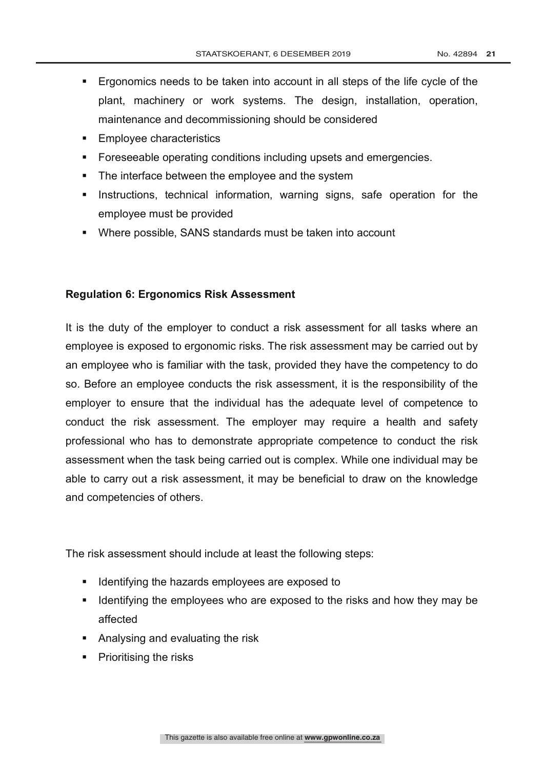- § Ergonomics needs to be taken into account in all steps of the life cycle of the plant, machinery or work systems. The design, installation, operation, maintenance and decommissioning should be considered
- Employee characteristics
- § Foreseeable operating conditions including upsets and emergencies.
- The interface between the employee and the system
- **■** Instructions, technical information, warning signs, safe operation for the employee must be provided
- Where possible, SANS standards must be taken into account

#### **Regulation 6: Ergonomics Risk Assessment**

It is the duty of the employer to conduct a risk assessment for all tasks where an employee is exposed to ergonomic risks. The risk assessment may be carried out by an employee who is familiar with the task, provided they have the competency to do so. Before an employee conducts the risk assessment, it is the responsibility of the employer to ensure that the individual has the adequate level of competence to conduct the risk assessment. The employer may require a health and safety professional who has to demonstrate appropriate competence to conduct the risk assessment when the task being carried out is complex. While one individual may be able to carry out a risk assessment, it may be beneficial to draw on the knowledge and competencies of others.

The risk assessment should include at least the following steps:

- Identifying the hazards employees are exposed to
- Identifying the employees who are exposed to the risks and how they may be affected
- Analysing and evaluating the risk
- Prioritising the risks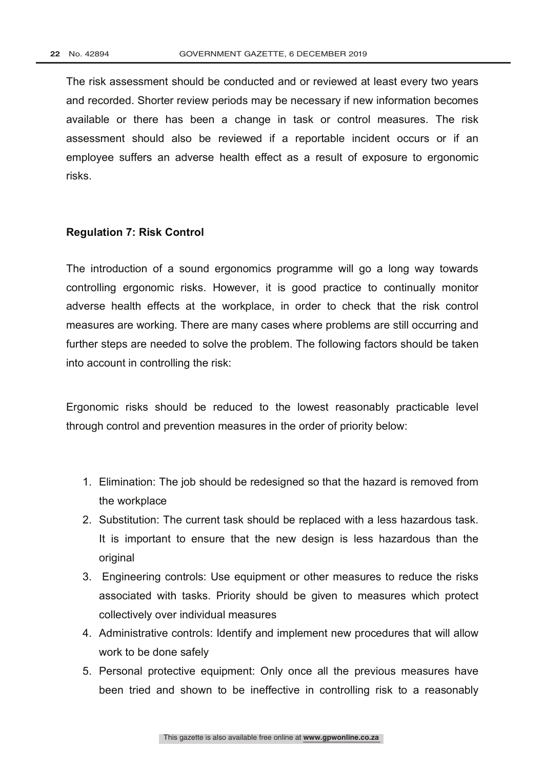The risk assessment should be conducted and or reviewed at least every two years and recorded. Shorter review periods may be necessary if new information becomes available or there has been a change in task or control measures. The risk assessment should also be reviewed if a reportable incident occurs or if an employee suffers an adverse health effect as a result of exposure to ergonomic risks.

#### **Regulation 7: Risk Control**

The introduction of a sound ergonomics programme will go a long way towards controlling ergonomic risks. However, it is good practice to continually monitor adverse health effects at the workplace, in order to check that the risk control measures are working. There are many cases where problems are still occurring and further steps are needed to solve the problem. The following factors should be taken into account in controlling the risk:

Ergonomic risks should be reduced to the lowest reasonably practicable level through control and prevention measures in the order of priority below:

- 1. Elimination: The job should be redesigned so that the hazard is removed from the workplace
- 2. Substitution: The current task should be replaced with a less hazardous task. It is important to ensure that the new design is less hazardous than the original
- 3. Engineering controls: Use equipment or other measures to reduce the risks associated with tasks. Priority should be given to measures which protect collectively over individual measures
- 4. Administrative controls: Identify and implement new procedures that will allow work to be done safely
- 5. Personal protective equipment: Only once all the previous measures have been tried and shown to be ineffective in controlling risk to a reasonably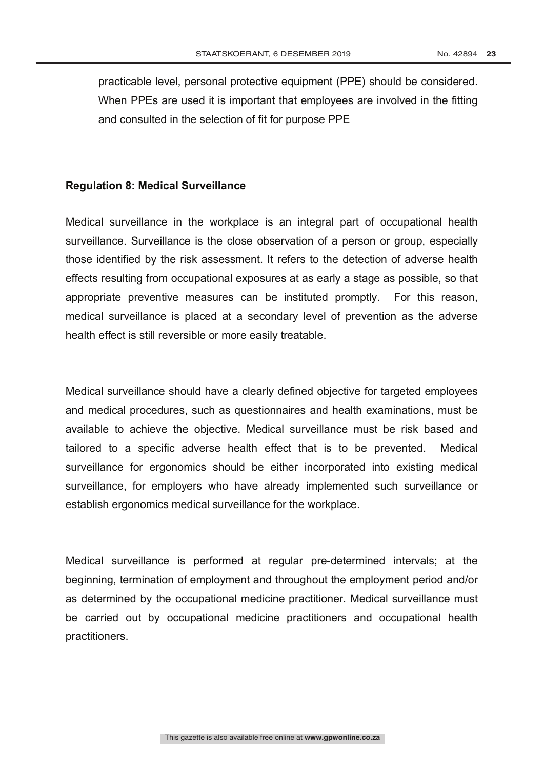practicable level, personal protective equipment (PPE) should be considered. When PPEs are used it is important that employees are involved in the fitting and consulted in the selection of fit for purpose PPE

#### **Regulation 8: Medical Surveillance**

Medical surveillance in the workplace is an integral part of occupational health surveillance. Surveillance is the close observation of a person or group, especially those identified by the risk assessment. It refers to the detection of adverse health effects resulting from occupational exposures at as early a stage as possible, so that appropriate preventive measures can be instituted promptly. For this reason, medical surveillance is placed at a secondary level of prevention as the adverse health effect is still reversible or more easily treatable.

Medical surveillance should have a clearly defined objective for targeted employees and medical procedures, such as questionnaires and health examinations, must be available to achieve the objective. Medical surveillance must be risk based and tailored to a specific adverse health effect that is to be prevented. Medical surveillance for ergonomics should be either incorporated into existing medical surveillance, for employers who have already implemented such surveillance or establish ergonomics medical surveillance for the workplace.

Medical surveillance is performed at regular pre-determined intervals; at the beginning, termination of employment and throughout the employment period and/or as determined by the occupational medicine practitioner. Medical surveillance must be carried out by occupational medicine practitioners and occupational health practitioners.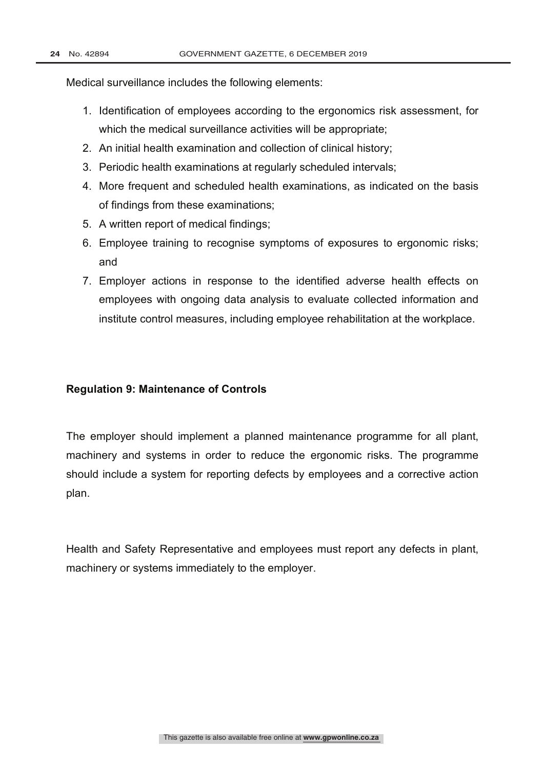Medical surveillance includes the following elements:

- 1. Identification of employees according to the ergonomics risk assessment, for which the medical surveillance activities will be appropriate;
- 2. An initial health examination and collection of clinical history;
- 3. Periodic health examinations at regularly scheduled intervals;
- 4. More frequent and scheduled health examinations, as indicated on the basis of findings from these examinations;
- 5. A written report of medical findings;
- 6. Employee training to recognise symptoms of exposures to ergonomic risks; and
- 7. Employer actions in response to the identified adverse health effects on employees with ongoing data analysis to evaluate collected information and institute control measures, including employee rehabilitation at the workplace.

#### **Regulation 9: Maintenance of Controls**

The employer should implement a planned maintenance programme for all plant, machinery and systems in order to reduce the ergonomic risks. The programme should include a system for reporting defects by employees and a corrective action plan.

Health and Safety Representative and employees must report any defects in plant, machinery or systems immediately to the employer.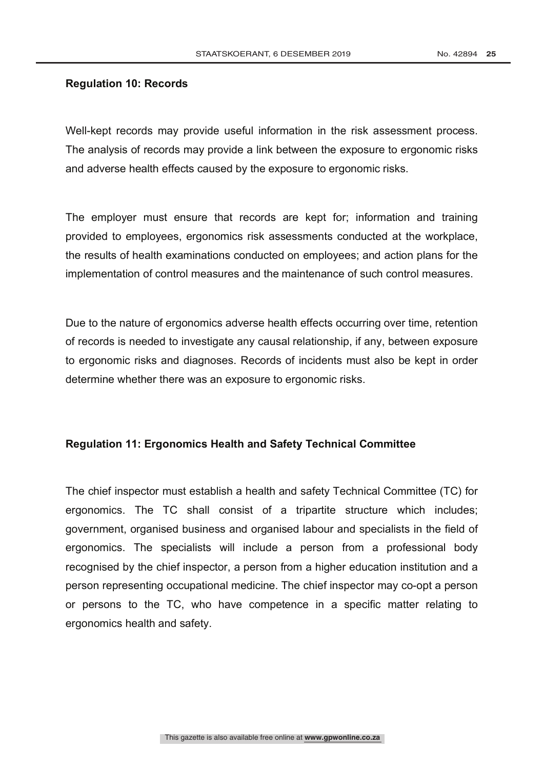#### **Regulation 10: Records**

Well-kept records may provide useful information in the risk assessment process. The analysis of records may provide a link between the exposure to ergonomic risks and adverse health effects caused by the exposure to ergonomic risks.

The employer must ensure that records are kept for; information and training provided to employees, ergonomics risk assessments conducted at the workplace, the results of health examinations conducted on employees; and action plans for the implementation of control measures and the maintenance of such control measures.

Due to the nature of ergonomics adverse health effects occurring over time, retention of records is needed to investigate any causal relationship, if any, between exposure to ergonomic risks and diagnoses. Records of incidents must also be kept in order determine whether there was an exposure to ergonomic risks.

#### **Regulation 11: Ergonomics Health and Safety Technical Committee**

The chief inspector must establish a health and safety Technical Committee (TC) for ergonomics. The TC shall consist of a tripartite structure which includes; government, organised business and organised labour and specialists in the field of ergonomics. The specialists will include a person from a professional body recognised by the chief inspector, a person from a higher education institution and a person representing occupational medicine. The chief inspector may co-opt a person or persons to the TC, who have competence in a specific matter relating to ergonomics health and safety.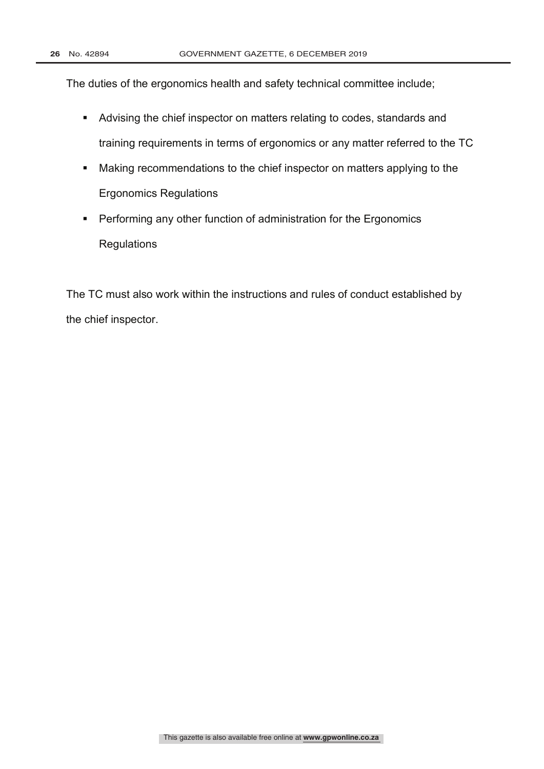The duties of the ergonomics health and safety technical committee include;

- Advising the chief inspector on matters relating to codes, standards and training requirements in terms of ergonomics or any matter referred to the TC
- Making recommendations to the chief inspector on matters applying to the Ergonomics Regulations
- Performing any other function of administration for the Ergonomics **Regulations**

The TC must also work within the instructions and rules of conduct established by the chief inspector.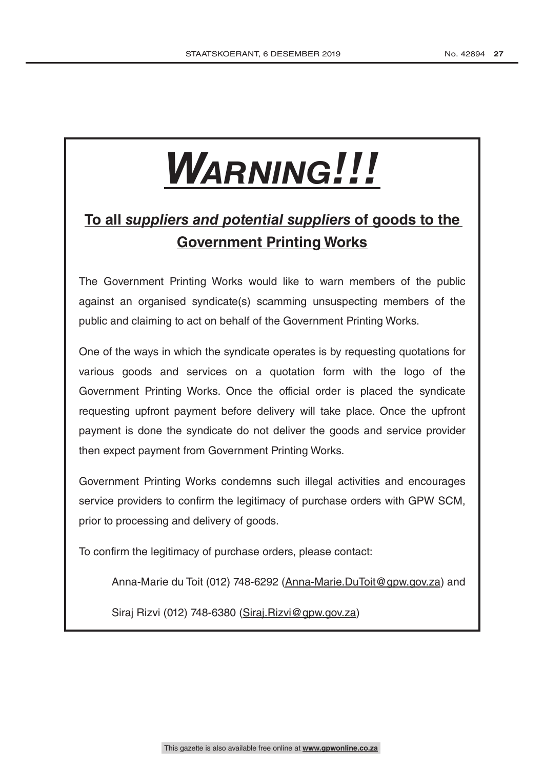# *Warning!!!*

### **To all** *suppliers and potential suppliers* **of goods to the Government Printing Works**

The Government Printing Works would like to warn members of the public against an organised syndicate(s) scamming unsuspecting members of the public and claiming to act on behalf of the Government Printing Works.

One of the ways in which the syndicate operates is by requesting quotations for various goods and services on a quotation form with the logo of the Government Printing Works. Once the official order is placed the syndicate requesting upfront payment before delivery will take place. Once the upfront payment is done the syndicate do not deliver the goods and service provider then expect payment from Government Printing Works.

Government Printing Works condemns such illegal activities and encourages service providers to confirm the legitimacy of purchase orders with GPW SCM, prior to processing and delivery of goods.

To confirm the legitimacy of purchase orders, please contact:

Anna-Marie du Toit (012) 748-6292 (Anna-Marie.DuToit@gpw.gov.za) and

Siraj Rizvi (012) 748-6380 (Siraj. Rizvi@gpw.gov.za)